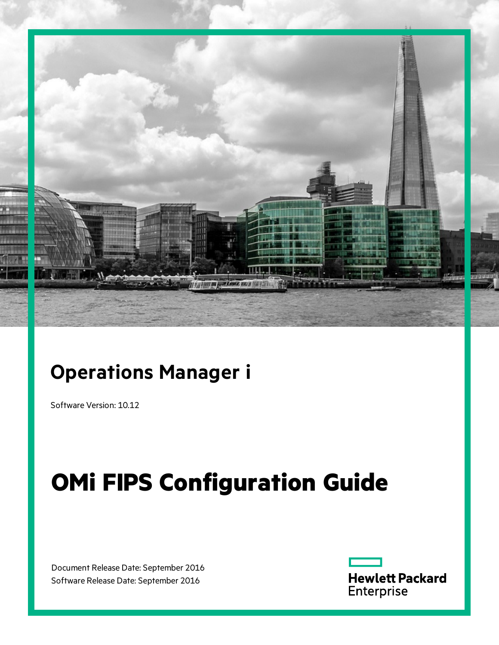

# **Operations Manager i**

Software Version: 10.12

# **OMi FIPS Configuration Guide**

Document Release Date: September 2016 Software Release Date: September 2016

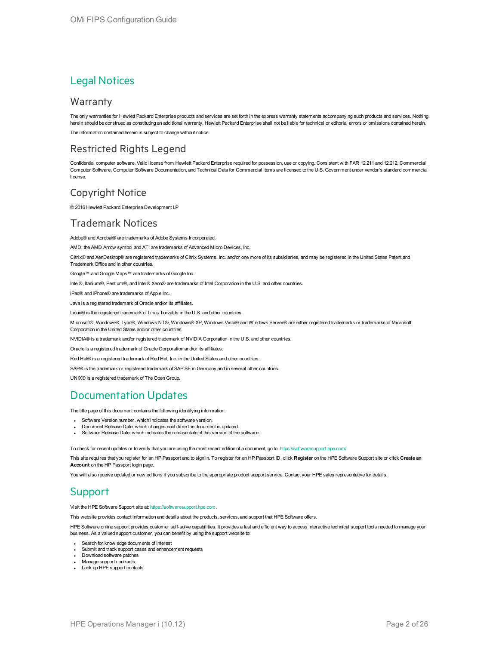#### Legal Notices

#### **Warranty**

The only warranties for Hewlett Packard Enterprise products and services are set forth in the express warranty statements accompanying such products and services. Nothing herein should be construed as constituting an additional warranty. Hewlett Packard Enterprise shall not be liable for technical or editorial errors or omissions contained herein. The information contained herein is subject to change without notice.

#### Restricted Rights Legend

Confidential computer software. Valid license from Hewlett Packard Enterprise required for possession, use or copying. Consistent with FAR 12.211 and 12.212, Commercial Computer Software, Computer Software Documentation, and Technical Data for Commercial Items are licensed to the U.S. Government under vendor's standard commercial license.

#### Copyright Notice

© 2016 Hewlett Packard Enterprise Development LP

#### Trademark Notices

Adobe® and Acrobat® are trademarks of Adobe Systems Incorporated.

AMD, the AMD Arrow symbol and ATI are trademarks of Advanced Micro Devices, Inc.

Citrix® and XenDesktop® are registered trademarks of Citrix Systems, Inc. and/or one more of its subsidiaries, and may be registered in the United States Patent and Trademark Office and in other countries.

Google™ and Google Maps™ are trademarks of Google Inc.

Intel®, Itanium®, Pentium®, and Intel® Xeon® are trademarks of Intel Corporation in the U.S. and other countries.

iPad® and iPhone® are trademarks of Apple Inc.

Java is a registered trademark of Oracle and/or its affiliates.

Linux® is the registered trademark of Linus Torvalds in the U.S. and other countries.

Microsoft®, Windows®, Lync®, Windows NT®, Windows® XP, Windows Vista® and Windows Server® are either registered trademarks or trademarks of Microsoft Corporation in the United States and/or other countries.

NVIDIA® is a trademark and/or registered trademark of NVIDIA Corporation in the U.S. and other countries.

Oracle is a registered trademark of Oracle Corporation and/or its affiliates.

Red Hat® is a registered trademark of Red Hat, Inc. in the United States and other countries.

SAP® is the trademark or registered trademark of SAP SE in Germany and in several other countries.

UNIX® is a registered trademark of The Open Group.

#### Documentation Updates

The title page of this document contains the following identifying information:

- Software Version number, which indicates the software version.
- <sup>l</sup> Document Release Date, which changes each time the document is updated.
- Software Release Date, which indicates the release date of this version of the software.

To check for recent updates or to verify that you are using the most recent edition of a document, go to: <https://softwaresupport.hpe.com/>.

This site requires that you register for an HP Passport and to sign in. To register for an HP Passport ID, click **Register** on the HPE Software Support site or click **Create an Account** on the HP Passport login page.

You will also receive updated or new editions if you subscribe to the appropriate product support service. Contact your HPE sales representative for details.

#### **Support**

Visit the HPE Software Support site at: [https://softwaresupport.hpe.com.](https://softwaresupport.hpe.com/)

This website provides contact information and details about the products, services, and support that HPE Software offers.

HPE Software online support provides customer self-solve capabilities. It provides a fast and efficient way to access interactive technical support tools needed to manage your business. As a valued support customer, you can benefit by using the support website to:

- Search for knowledge documents of interest
- Submit and track support cases and enhancement requests • Download software patches
- Manage support contracts
- Look up HPE support contacts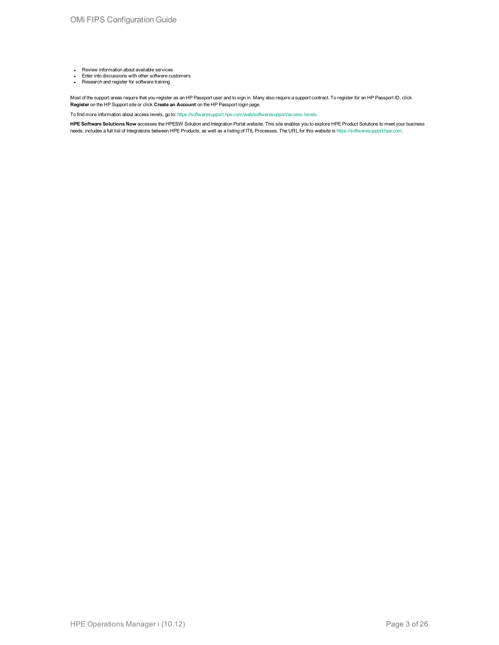- **Review information about available services**
- <sup>l</sup> Enter into discussions with other software customers <sup>l</sup> Research and register for software training
- 

Most of the support areas require that you register as an HP Passport user and to sign in. Many also require a support contract. To register for an HP Passport ID, click **Register** on the HP Support site or click **Create an Account** on the HP Passport login page.

To find more information about access levels, go to: <https://softwaresupport.hpe.com/web/softwaresupport/access-levels>.

**HPE Software Solutions Now** accesses the HPESW Solution and Integration Portal website. This site enables you to explore HPE Product Solutions to meet your business needs, includes a full list of Integrations between HPE Products, as well as a listing of ITIL Processes. The URL for this website is [https://softwaresupport.hpe.com.](https://softwaresupport.hpe.com/)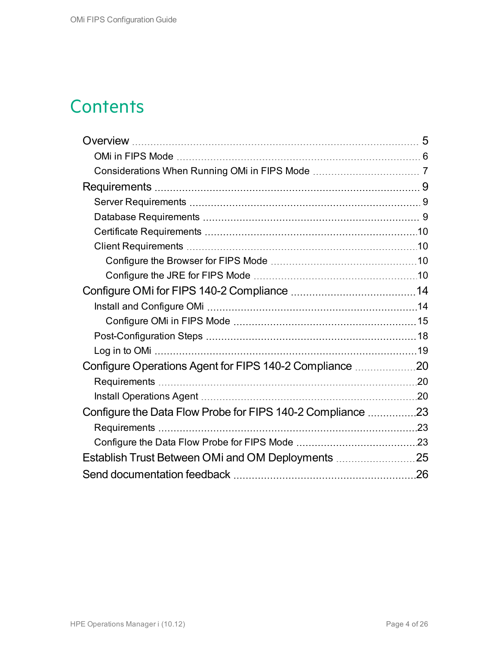### **Contents**

| Configure Operations Agent for FIPS 140-2 Compliance 20    |  |
|------------------------------------------------------------|--|
|                                                            |  |
|                                                            |  |
| Configure the Data Flow Probe for FIPS 140-2 Compliance 23 |  |
|                                                            |  |
|                                                            |  |
|                                                            |  |
|                                                            |  |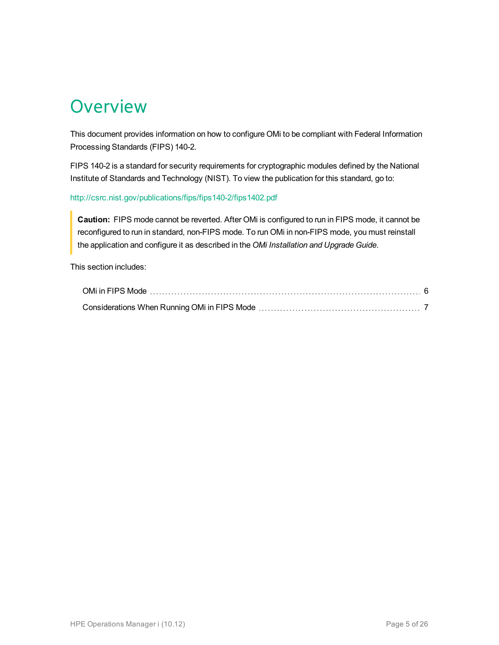# <span id="page-4-0"></span>**Overview**

This document provides information on how to configure OMi to be compliant with Federal Information Processing Standards (FIPS) 140-2.

FIPS 140-2 is a standard for security requirements for cryptographic modules defined by the National Institute of Standards and Technology (NIST). To view the publication for this standard, go to:

#### <http://csrc.nist.gov/publications/fips/fips140-2/fips1402.pdf>

**Caution:** FIPS mode cannot be reverted. After OMi is configured to run in FIPS mode, it cannot be reconfigured to run in standard, non-FIPS mode. To run OMi in non-FIPS mode, you must reinstall the application and configure it as described in the *OMi Installation and Upgrade Guide*.

This section includes: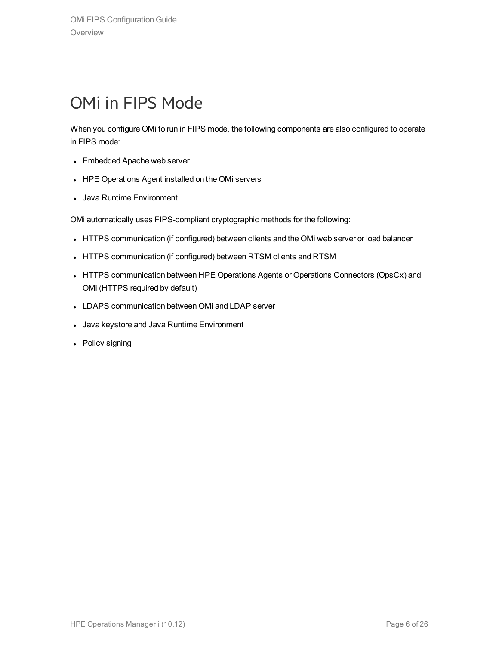### <span id="page-5-0"></span>OMi in FIPS Mode

When you configure OMi to run in FIPS mode, the following components are also configured to operate in FIPS mode:

- Embedded Apache web server
- HPE Operations Agent installed on the OMi servers
- Java Runtime Environment

OMi automatically uses FIPS-compliant cryptographic methods for the following:

- HTTPS communication (if configured) between clients and the OMi web server or load balancer
- HTTPS communication (if configured) between RTSM clients and RTSM
- HTTPS communication between HPE Operations Agents or Operations Connectors (OpsCx) and OMi (HTTPS required by default)
- LDAPS communication between OMi and LDAP server
- Java keystore and Java Runtime Environment
- Policy signing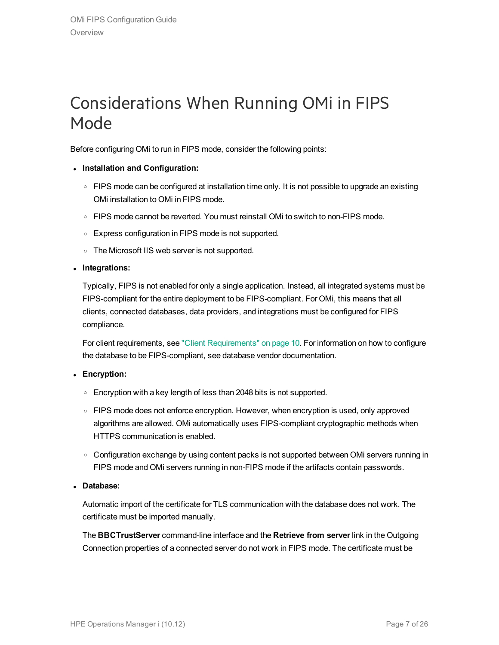### <span id="page-6-0"></span>Considerations When Running OMi in FIPS Mode

Before configuring OMi to run in FIPS mode, consider the following points:

- <sup>l</sup> **Installation and Configuration:**
	- $\circ$  FIPS mode can be configured at installation time only. It is not possible to upgrade an existing OMi installation to OMi in FIPS mode.
	- $\circ$  FIPS mode cannot be reverted. You must reinstall OMi to switch to non-FIPS mode.
	- <sup>o</sup> Express configuration in FIPS mode is not supported.
	- $\circ$  The Microsoft IIS web server is not supported.
- <sup>l</sup> **Integrations:**

Typically, FIPS is not enabled for only a single application. Instead, all integrated systems must be FIPS-compliant for the entire deployment to be FIPS-compliant. For OMi, this means that all clients, connected databases, data providers, and integrations must be configured for FIPS compliance.

For client requirements, see "Client [Requirements"](#page-9-1) on page 10. For information on how to configure the database to be FIPS-compliant, see database vendor documentation.

#### **Encryption:**

- $\circ$  Encryption with a key length of less than 2048 bits is not supported.
- FIPS mode does not enforce encryption. However, when encryption is used, only approved algorithms are allowed. OMi automatically uses FIPS-compliant cryptographic methods when HTTPS communication is enabled.
- o Configuration exchange by using content packs is not supported between OMi servers running in FIPS mode and OMi servers running in non-FIPS mode if the artifacts contain passwords.
- <sup>l</sup> **Database:**

Automatic import of the certificate for TLS communication with the database does not work. The certificate must be imported manually.

The **BBCTrustServer** command-line interface and the **Retrieve from server** link in the Outgoing Connection properties of a connected server do not work in FIPS mode. The certificate must be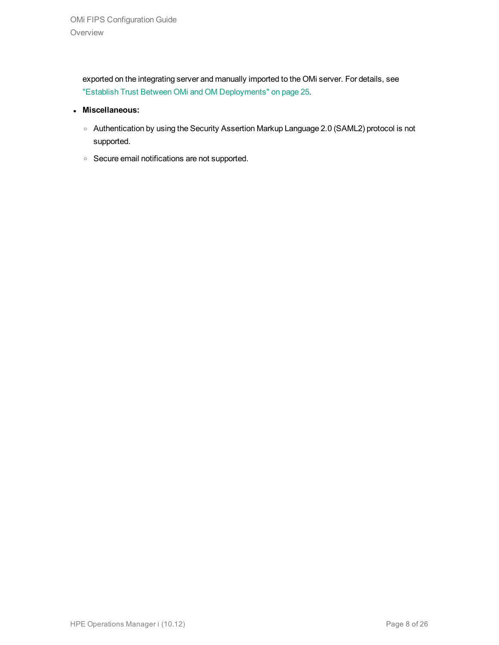exported on the integrating server and manually imported to the OMi server. For details, see "Establish Trust Between OMi and OM [Deployments"](#page-24-0) on page 25.

- <sup>l</sup> **Miscellaneous:**
	- <sup>o</sup> Authentication by using the Security Assertion Markup Language 2.0 (SAML2) protocol is not supported.
	- <sup>o</sup> Secure email notifications are not supported.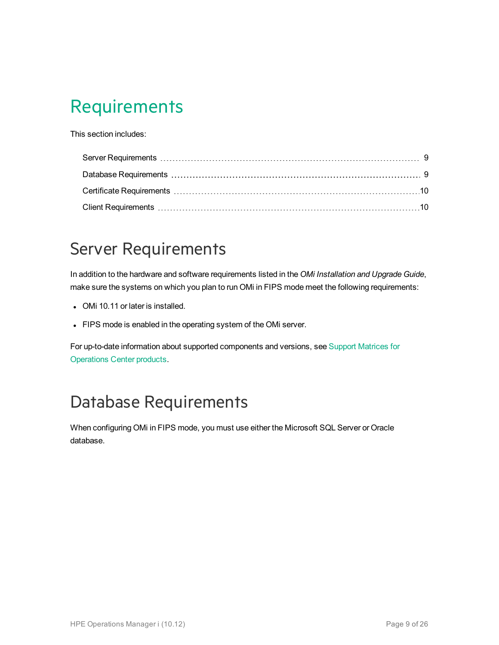# <span id="page-8-0"></span>Requirements

This section includes:

### <span id="page-8-1"></span>Server Requirements

In addition to the hardware and software requirements listed in the *OMi Installation and Upgrade Guide*, make sure the systems on which you plan to run OMi in FIPS mode meet the following requirements:

- OMi 10.11 or later is installed.
- FIPS mode is enabled in the operating system of the OMi server.

For up-to-date information about supported components and versions, see Support [Matrices](https://softwaresupport.hpe.com/km/KM323488) for [Operations](https://softwaresupport.hpe.com/km/KM323488) Center products.

# <span id="page-8-2"></span>Database Requirements

When configuring OMi in FIPS mode, you must use either the Microsoft SQL Server or Oracle database.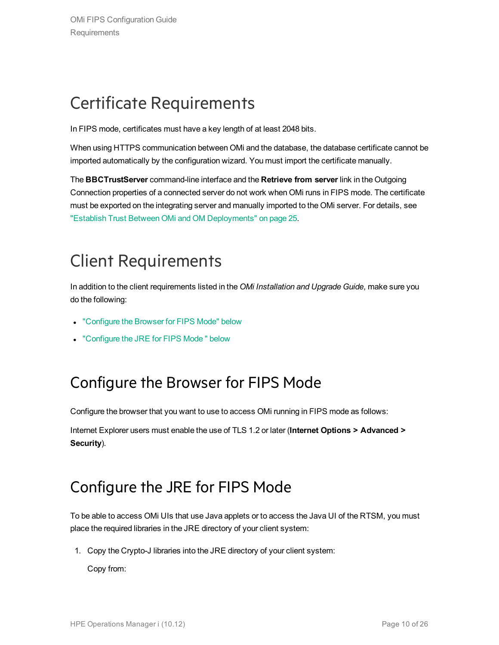### <span id="page-9-0"></span>Certificate Requirements

In FIPS mode, certificates must have a key length of at least 2048 bits.

When using HTTPS communication between OMi and the database, the database certificate cannot be imported automatically by the configuration wizard. You must import the certificate manually.

The **BBCTrustServer** command-line interface and the **Retrieve from server** link in the Outgoing Connection properties of a connected server do not work when OMi runs in FIPS mode. The certificate must be exported on the integrating server and manually imported to the OMi server. For details, see "Establish Trust Between OMi and OM [Deployments"](#page-24-0) on page 25.

# <span id="page-9-1"></span>Client Requirements

In addition to the client requirements listed in the *OMi Installation and Upgrade Guide*, make sure you do the following:

- ["Configure](#page-9-2) the Browser for FIPS Mode" below
- <span id="page-9-2"></span>• "Configure the JRE for [FIPS Mode](#page-9-3)" below

### Configure the Browser for FIPS Mode

Configure the browser that you want to use to access OMi running in FIPS mode as follows:

<span id="page-9-3"></span>Internet Explorer users must enable the use of TLS 1.2 or later (**Internet Options > Advanced > Security**).

### Configure the JRE for FIPS Mode

To be able to access OMi UIs that use Java applets or to access the Java UI of the RTSM, you must place the required libraries in the JRE directory of your client system:

1. Copy the Crypto-J libraries into the JRE directory of your client system:

Copy from: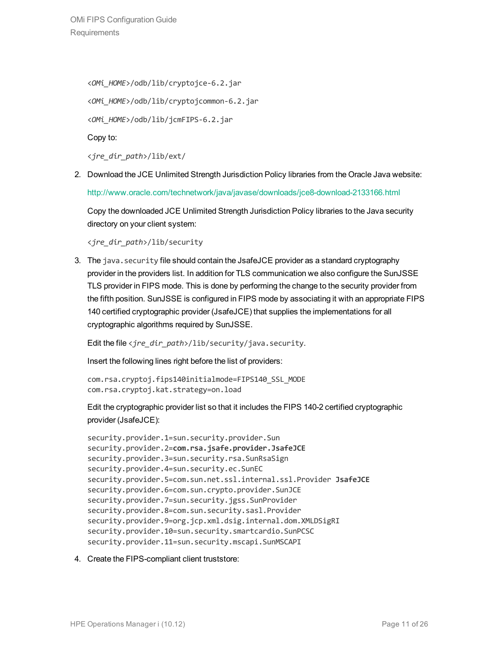<*OMi\_HOME*>/odb/lib/cryptojce-6.2.jar <*OMi\_HOME*>/odb/lib/cryptojcommon-6.2.jar <*OMi\_HOME*>/odb/lib/jcmFIPS-6.2.jar Copy to:

<*jre\_dir\_path*>/lib/ext/

2. Download the JCE Unlimited Strength Jurisdiction Policy libraries from the Oracle Java website:

<http://www.oracle.com/technetwork/java/javase/downloads/jce8-download-2133166.html>

Copy the downloaded JCE Unlimited Strength Jurisdiction Policy libraries to the Java security directory on your client system:

<*jre\_dir\_path*>/lib/security

3. The java.security file should contain the JsafeJCE provider as a standard cryptography provider in the providers list. In addition for TLS communication we also configure the SunJSSE TLS provider in FIPS mode. This is done by performing the change to the security provider from the fifth position. SunJSSE is configured in FIPS mode by associating it with an appropriate FIPS 140 certified cryptographic provider (JsafeJCE) that supplies the implementations for all cryptographic algorithms required by SunJSSE.

Edit the file <*jre\_dir\_path*>/lib/security/java.security.

Insert the following lines right before the list of providers:

com.rsa.cryptoj.fips140initialmode=FIPS140\_SSL\_MODE com.rsa.cryptoj.kat.strategy=on.load

Edit the cryptographic provider list so that it includes the FIPS 140-2 certified cryptographic provider (JsafeJCE):

```
security.provider.1=sun.security.provider.Sun
security.provider.2=com.rsa.jsafe.provider.JsafeJCE
security.provider.3=sun.security.rsa.SunRsaSign
security.provider.4=sun.security.ec.SunEC
security.provider.5=com.sun.net.ssl.internal.ssl.Provider JsafeJCE
security.provider.6=com.sun.crypto.provider.SunJCE
security.provider.7=sun.security.jgss.SunProvider
security.provider.8=com.sun.security.sasl.Provider
security.provider.9=org.jcp.xml.dsig.internal.dom.XMLDSigRI
security.provider.10=sun.security.smartcardio.SunPCSC
security.provider.11=sun.security.mscapi.SunMSCAPI
```
#### 4. Create the FIPS-compliant client truststore: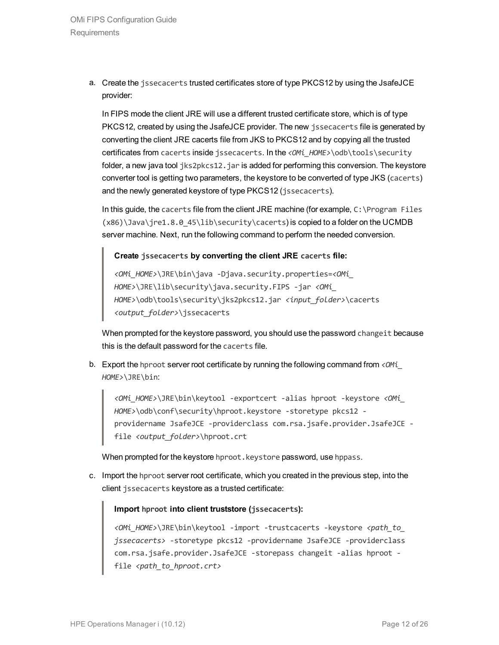a. Create the jssecacerts trusted certificates store of type PKCS12 by using the JsafeJCE provider:

In FIPS mode the client JRE will use a different trusted certificate store, which is of type PKCS12, created by using the JsafeJCE provider. The new issecacerts file is generated by converting the client JRE cacerts file from JKS to PKCS12 and by copying all the trusted certificates from cacerts inside jssecacerts. In the <*OMi\_HOME>*\odb\tools\security folder, a new java tool jks2pkcs12.jar is added for performing this conversion. The keystore converter tool is getting two parameters, the keystore to be converted of type JKS (cacerts) and the newly generated keystore of type PKCS12 (jssecacerts).

In this guide, the cacerts file from the client JRE machine (for example, C:\Program Files (x86)\Java\jre1.8.0\_45\lib\security\cacerts) is copied to a folder on the UCMDB server machine. Next, run the following command to perform the needed conversion.

#### **Create jssecacerts by converting the client JRE cacerts file:**

*<OMi\_HOME>*\JRE\bin\java -Djava.security.properties=*<OMi\_ HOME>*\JRE\lib\security\java.security.FIPS -jar *<OMi\_ HOME>*\odb\tools\security\jks2pkcs12.jar *<input\_folder>*\cacerts *<output\_folder>*\jssecacerts

When prompted for the keystore password, you should use the password changeit because this is the default password for the cacerts file.

b. Export the hproot server root certificate by running the following command from *<OMi\_ HOME>*\JRE\bin:

*<OMi\_HOME>*\JRE\bin\keytool -exportcert -alias hproot -keystore *<OMi\_ HOME>*\odb\conf\security\hproot.keystore -storetype pkcs12 providername JsafeJCE -providerclass com.rsa.jsafe.provider.JsafeJCE file *<output\_folder>*\hproot.crt

When prompted for the keystore hproot. keystore password, use hppass.

c. Import the hproot server root certificate, which you created in the previous step, into the client jssecacerts keystore as a trusted certificate:

#### **Import hproot into client truststore (jssecacerts):**

*<OMi\_HOME>*\JRE\bin\keytool -import -trustcacerts -keystore *<path\_to\_ jssecacerts>* -storetype pkcs12 -providername JsafeJCE -providerclass com.rsa.jsafe.provider.JsafeJCE -storepass changeit -alias hproot file <path\_to\_hproot.crt>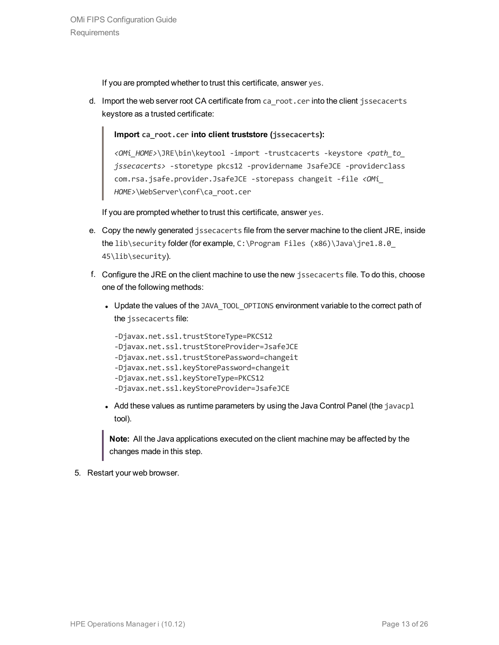If you are prompted whether to trust this certificate, answer yes.

d. Import the web server root CA certificate from ca\_root.cer into the client jssecacerts keystore as a trusted certificate:

**Import ca\_root.cer into client truststore (jssecacerts):**

*<OMi\_HOME>*\JRE\bin\keytool -import -trustcacerts -keystore *<path\_to\_ jssecacerts>* -storetype pkcs12 -providername JsafeJCE -providerclass com.rsa.jsafe.provider.JsafeJCE -storepass changeit -file *<OMi\_ HOME>*\WebServer\conf\ca\_root.cer

If you are prompted whether to trust this certificate, answer yes.

- e. Copy the newly generated jssecacerts file from the server machine to the client JRE, inside the lib\security folder (for example, C:\Program Files (x86)\Java\jre1.8.0 45\lib\security).
- f. Configure the JRE on the client machine to use the new jssecacerts file. To do this, choose one of the following methods:
	- Update the values of the JAVA\_TOOL\_OPTIONS environment variable to the correct path of the jssecacerts file:

```
-Djavax.net.ssl.trustStoreType=PKCS12
-Djavax.net.ssl.trustStoreProvider=JsafeJCE
-Djavax.net.ssl.trustStorePassword=changeit
-Djavax.net.ssl.keyStorePassword=changeit
-Djavax.net.ssl.keyStoreType=PKCS12
-Djavax.net.ssl.keyStoreProvider=JsafeJCE
```
• Add these values as runtime parameters by using the Java Control Panel (the  $javacpl$ tool).

**Note:** All the Java applications executed on the client machine may be affected by the changes made in this step.

5. Restart your web browser.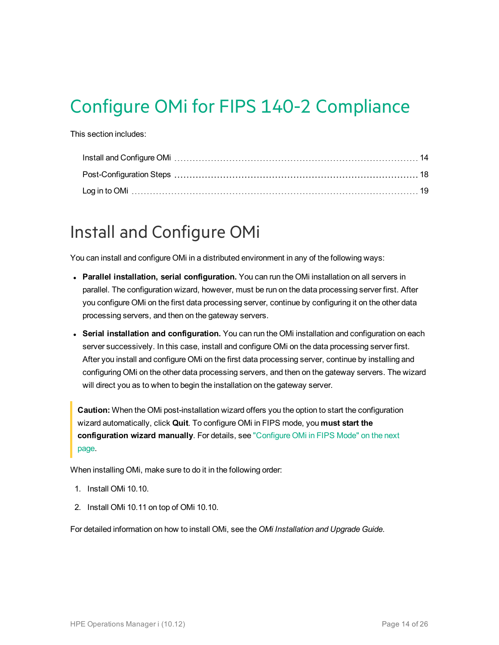# <span id="page-13-0"></span>Configure OMi for FIPS 140-2 Compliance

This section includes:

### <span id="page-13-1"></span>Install and Configure OMi

You can install and configure OMi in a distributed environment in any of the following ways:

- <sup>l</sup> **Parallel installation, serial configuration.** You can run the OMi installation on all servers in parallel. The configuration wizard, however, must be run on the data processing server first. After you configure OMi on the first data processing server, continue by configuring it on the other data processing servers, and then on the gateway servers.
- <sup>l</sup> **Serial installation and configuration.** You can run the OMi installation and configuration on each server successively. In this case, install and configure OMi on the data processing server first. After you install and configure OMi on the first data processing server, continue by installing and configuring OMi on the other data processing servers, and then on the gateway servers. The wizard will direct you as to when to begin the installation on the gateway server.

**Caution:** When the OMi post-installation wizard offers you the option to start the configuration wizard automatically, click **Quit**. To configure OMi in FIPS mode, you **must start the configuration wizard manually**. For details, see ["Configure](#page-14-0) OMi in FIPS Mode" on the next [page](#page-14-0).

When installing OMi, make sure to do it in the following order:

- 1. Install OMi 10.10.
- 2. Install OMi 10.11 on top of OMi 10.10.

For detailed information on how to install OMi, see the *OMi Installation and Upgrade Guide*.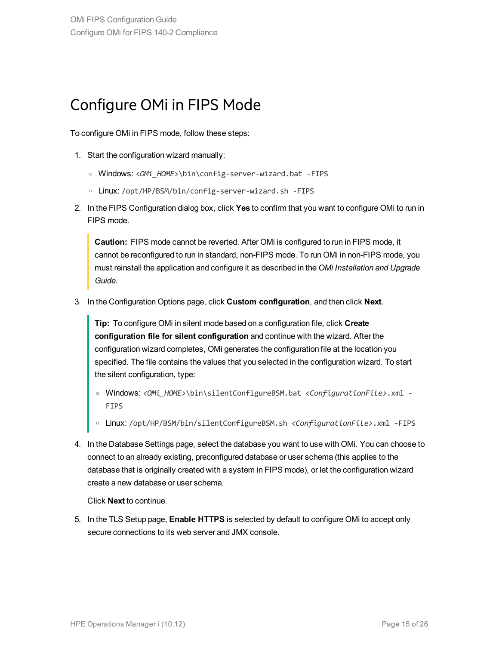### <span id="page-14-0"></span>Configure OMi in FIPS Mode

To configure OMi in FIPS mode, follow these steps:

- 1. Start the configuration wizard manually:
	- <sup>o</sup> Windows: <*OMi\_HOME*>\bin\config-server-wizard.bat -FIPS
	- <sup>o</sup> Linux: /opt/HP/BSM/bin/config-server-wizard.sh -FIPS
- 2. In the FIPS Configuration dialog box, click **Yes** to confirm that you want to configure OMi to run in FIPS mode.

**Caution:** FIPS mode cannot be reverted. After OMi is configured to run in FIPS mode, it cannot be reconfigured to run in standard, non-FIPS mode. To run OMi in non-FIPS mode, you must reinstall the application and configure it as described in the *OMi Installation and Upgrade Guide*.

3. In the Configuration Options page, click **Custom configuration**, and then click **Next**.

**Tip:** To configure OMi in silent mode based on a configuration file, click **Create configuration file for silent configuration** and continue with the wizard. After the configuration wizard completes, OMi generates the configuration file at the location you specified. The file contains the values that you selected in the configuration wizard. To start the silent configuration, type:

- <sup>o</sup> Windows: *<OMi\_HOME>*\bin\silentConfigureBSM.bat *<ConfigurationFile>*.xml FIPS
- <sup>o</sup> Linux: /opt/HP/BSM/bin/silentConfigureBSM.sh *<ConfigurationFile>*.xml -FIPS
- 4. In the Database Settings page, select the database you want to use with OMi. You can choose to connect to an already existing, preconfigured database or user schema (this applies to the database that is originally created with a system in FIPS mode), or let the configuration wizard create a new database or user schema.

Click **Next** to continue.

5. In the TLS Setup page, **Enable HTTPS** is selected by default to configure OMi to accept only secure connections to its web server and JMX console.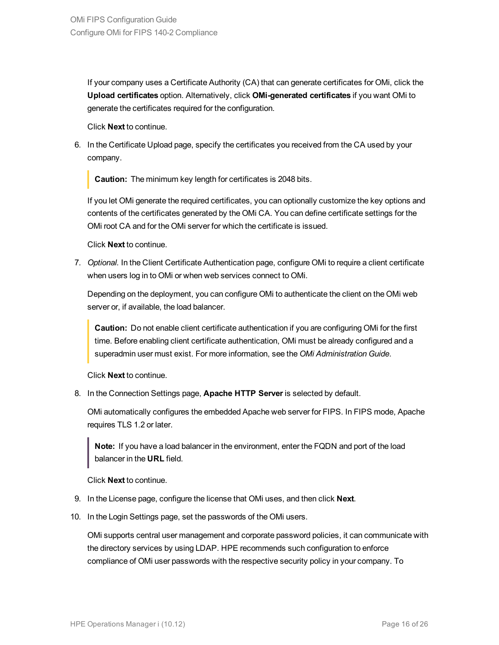If your company uses a Certificate Authority (CA) that can generate certificates for OMi, click the **Upload certificates** option. Alternatively, click **OMi-generated certificates** if you want OMi to generate the certificates required for the configuration.

Click **Next** to continue.

6. In the Certificate Upload page, specify the certificates you received from the CA used by your company.

**Caution:** The minimum key length for certificates is 2048 bits.

If you let OMi generate the required certificates, you can optionally customize the key options and contents of the certificates generated by the OMi CA. You can define certificate settings for the OMi root CA and for the OMi server for which the certificate is issued.

Click **Next** to continue.

7. *Optional.* In the Client Certificate Authentication page, configure OMi to require a client certificate when users log in to OMi or when web services connect to OMi.

Depending on the deployment, you can configure OMi to authenticate the client on the OMi web server or, if available, the load balancer.

**Caution:** Do not enable client certificate authentication if you are configuring OMi for the first time. Before enabling client certificate authentication, OMi must be already configured and a superadmin user must exist. For more information, see the *OMi Administration Guide*.

Click **Next** to continue.

8. In the Connection Settings page, **Apache HTTP Server** is selected by default.

OMi automatically configures the embedded Apache web server for FIPS. In FIPS mode, Apache requires TLS 1.2 or later.

**Note:** If you have a load balancer in the environment, enter the FQDN and port of the load balancer in the **URL** field.

Click **Next** to continue.

- 9. In the License page, configure the license that OMi uses, and then click **Next**.
- 10. In the Login Settings page, set the passwords of the OMi users.

OMi supports central user management and corporate password policies, it can communicate with the directory services by using LDAP. HPE recommends such configuration to enforce compliance of OMi user passwords with the respective security policy in your company. To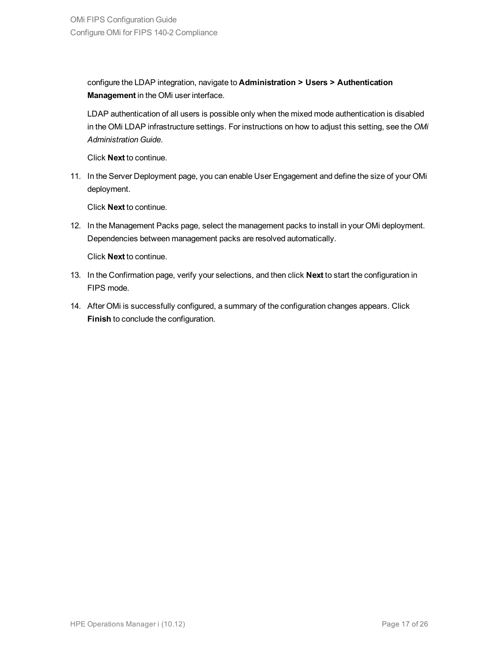configure the LDAP integration, navigate to **Administration > Users > Authentication Management** in the OMi user interface.

LDAP authentication of all users is possible only when the mixed mode authentication is disabled in the OMi LDAP infrastructure settings. For instructions on how to adjust this setting, see the *OMi Administration Guide*.

Click **Next** to continue.

11. In the Server Deployment page, you can enable User Engagement and define the size of your OMi deployment.

Click **Next** to continue.

12. In the Management Packs page, select the management packs to install in your OMi deployment. Dependencies between management packs are resolved automatically.

Click **Next** to continue.

- 13. In the Confirmation page, verify your selections, and then click **Next** to start the configuration in FIPS mode.
- 14. After OMi is successfully configured, a summary of the configuration changes appears. Click **Finish** to conclude the configuration.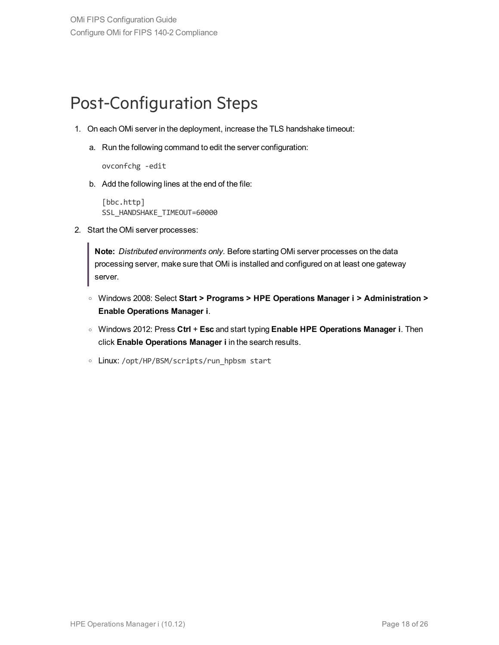### <span id="page-17-0"></span>Post-Configuration Steps

- 1. On each OMi server in the deployment, increase the TLS handshake timeout:
	- a. Run the following command to edit the server configuration:

ovconfchg -edit

b. Add the following lines at the end of the file:

```
[bbc.http]
SSL_HANDSHAKE_TIMEOUT=60000
```
2. Start the OMi server processes:

**Note:** *Distributed environments only.* Before starting OMi server processes on the data processing server, make sure that OMi is installed and configured on at least one gateway server.

- <sup>o</sup> Windows 2008: Select **Start > Programs > HPE Operations Manager i > Administration > Enable Operations Manager i**.
- <sup>o</sup> Windows 2012: Press **Ctrl** + **Esc** and start typing **Enable HPE Operations Manager i**. Then click **Enable Operations Manager i** in the search results.
- Linux: /opt/HP/BSM/scripts/run hpbsm start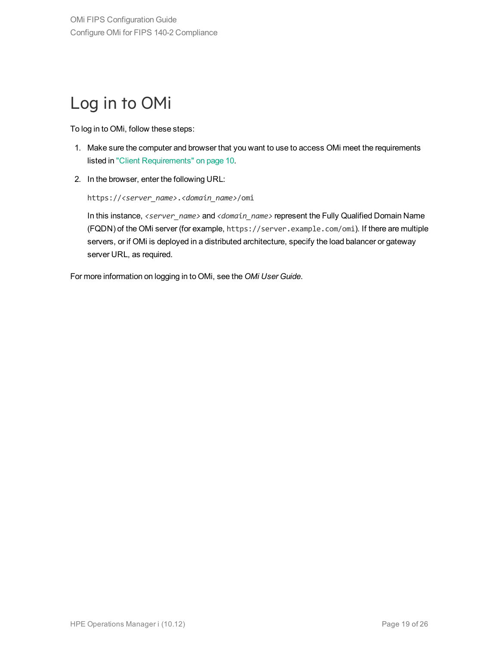### <span id="page-18-0"></span>Log in to OMi

To log in to OMi, follow these steps:

- 1. Make sure the computer and browser that you want to use to access OMi meet the requirements listed in "Client [Requirements"](#page-9-1) on page 10.
- 2. In the browser, enter the following URL:

https://*<server\_name>*.*<domain\_name>*/omi

In this instance, *<server\_name>* and *<domain\_name>* represent the Fully Qualified Domain Name (FQDN) of the OMi server (for example, https://server.example.com/omi). If there are multiple servers, or if OMi is deployed in a distributed architecture, specify the load balancer or gateway server URL, as required.

For more information on logging in to OMi, see the *OMi User Guide*.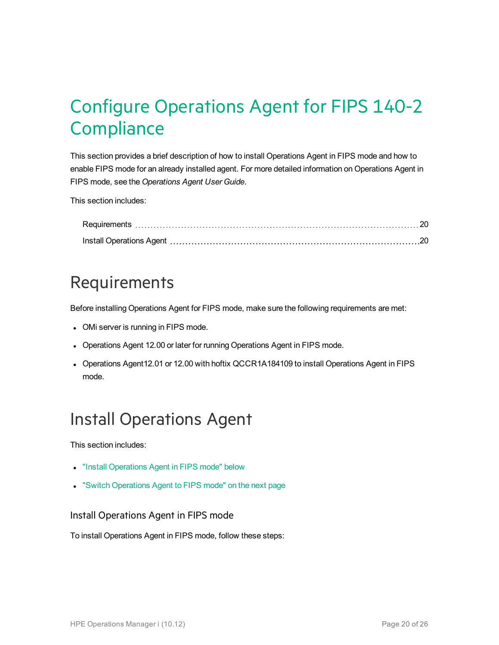# <span id="page-19-0"></span>Configure Operations Agent for FIPS 140-2 **Compliance**

This section provides a brief description of how to install Operations Agent in FIPS mode and how to enable FIPS mode for an already installed agent. For more detailed information on Operations Agent in FIPS mode, see the *Operations Agent User Guide*.

This section includes:

### <span id="page-19-1"></span>Requirements

Before installing Operations Agent for FIPS mode, make sure the following requirements are met:

- OMi server is running in FIPS mode.
- Operations Agent 12.00 or later for running Operations Agent in FIPS mode.
- Operations Agent12.01 or 12.00 with hoftix QCCR1A184109 to install Operations Agent in FIPS mode.

### <span id="page-19-2"></span>Install Operations Agent

This section includes:

- "Install [Operations](#page-19-3) Agent in FIPS mode" below
- <span id="page-19-3"></span>• "Switch [Operations](#page-20-0) Agent to FIPS mode" on the next page

#### Install Operations Agent in FIPS mode

To install Operations Agent in FIPS mode, follow these steps: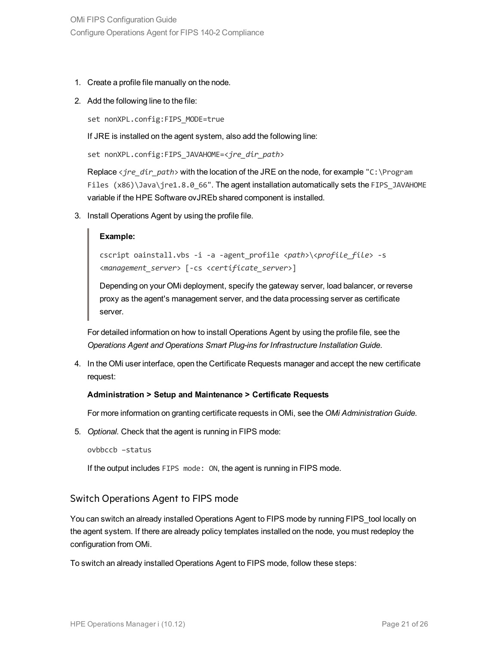- 1. Create a profile file manually on the node.
- 2. Add the following line to the file:

set nonXPL.config:FIPS MODE=true

If JRE is installed on the agent system, also add the following line:

```
set nonXPL.config:FIPS_JAVAHOME=<jre_dir_path>
```
Replace <*jre\_dir\_path*> with the location of the JRE on the node, for example "C:\Program Files (x86)\Java\jre1.8.0 66". The agent installation automatically sets the FIPS JAVAHOME variable if the HPE Software ovJREb shared component is installed.

3. Install Operations Agent by using the profile file.

#### **Example:**

```
cscript oainstall.vbs -i -a -agent_profile <path>\<profile_file> -s
<management_server> [-cs <certificate_server>]
```
Depending on your OMi deployment, specify the gateway server, load balancer, or reverse proxy as the agent's management server, and the data processing server as certificate server.

For detailed information on how to install Operations Agent by using the profile file, see the *Operations Agent and Operations Smart Plug-ins for Infrastructure Installation Guide*.

4. In the OMi user interface, open the Certificate Requests manager and accept the new certificate request:

#### **Administration > Setup and Maintenance > Certificate Requests**

For more information on granting certificate requests in OMi, see the *OMi Administration Guide*.

5. *Optional.* Check that the agent is running in FIPS mode:

ovbbccb –status

<span id="page-20-0"></span>If the output includes FIPS mode: ON, the agent is running in FIPS mode.

#### Switch Operations Agent to FIPS mode

You can switch an already installed Operations Agent to FIPS mode by running FIPS\_tool locally on the agent system. If there are already policy templates installed on the node, you must redeploy the configuration from OMi.

To switch an already installed Operations Agent to FIPS mode, follow these steps: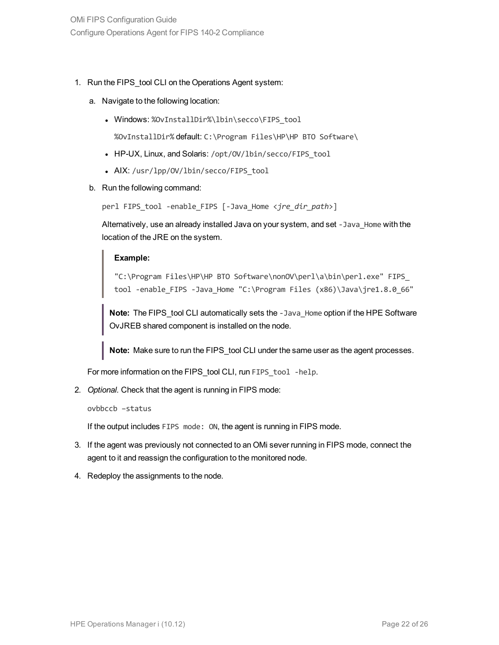- 1. Run the FIPS\_tool CLI on the Operations Agent system:
	- a. Navigate to the following location:
		- Windows: %OvInstallDir%\lbin\secco\FIPS\_tool

%OvInstallDir% default: C:\Program Files\HP\HP BTO Software\

- HP-UX, Linux, and Solaris: /opt/OV/lbin/secco/FIPS\_tool
- AIX: /usr/lpp/0V/lbin/secco/FIPS tool
- b. Run the following command:

perl FIPS\_tool -enable\_FIPS [-Java\_Home <*jre\_dir\_path*>]

Alternatively, use an already installed Java on your system, and set -Java\_Home with the location of the JRE on the system.

#### **Example:**

"C:\Program Files\HP\HP BTO Software\nonOV\perl\a\bin\perl.exe" FIPS\_ tool -enable FIPS -Java Home "C:\Program Files (x86)\Java\jre1.8.0 66"

**Note:** The FIPS tool CLI automatically sets the -Java Home option if the HPE Software OvJREB shared component is installed on the node.

**Note:** Make sure to run the FIPS\_tool CLI under the same user as the agent processes.

For more information on the FIPS tool CLI, run FIPS tool -help.

2. *Optional.* Check that the agent is running in FIPS mode:

```
ovbbccb –status
```
If the output includes FIPS mode: ON, the agent is running in FIPS mode.

- 3. If the agent was previously not connected to an OMi sever running in FIPS mode, connect the agent to it and reassign the configuration to the monitored node.
- 4. Redeploy the assignments to the node.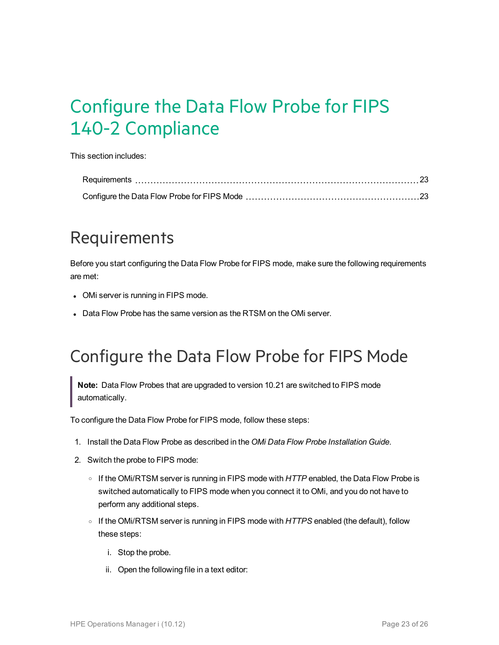# <span id="page-22-0"></span>Configure the Data Flow Probe for FIPS 140-2 Compliance

This section includes:

### <span id="page-22-1"></span>Requirements

Before you start configuring the Data Flow Probe for FIPS mode, make sure the following requirements are met:

- OMi server is running in FIPS mode.
- Data Flow Probe has the same version as the RTSM on the OMi server.

### <span id="page-22-2"></span>Configure the Data Flow Probe for FIPS Mode

**Note:** Data Flow Probes that are upgraded to version 10.21 are switched to FIPS mode automatically.

To configure the Data Flow Probe for FIPS mode, follow these steps:

- 1. Install the Data Flow Probe as described in the *OMi Data Flow Probe Installation Guide*.
- 2. Switch the probe to FIPS mode:
	- <sup>o</sup> If the OMi/RTSM server is running in FIPS mode with *HTTP* enabled, the Data Flow Probe is switched automatically to FIPS mode when you connect it to OMi, and you do not have to perform any additional steps.
	- <sup>o</sup> If the OMi/RTSM server is running in FIPS mode with *HTTPS* enabled (the default), follow these steps:
		- i. Stop the probe.
		- ii. Open the following file in a text editor: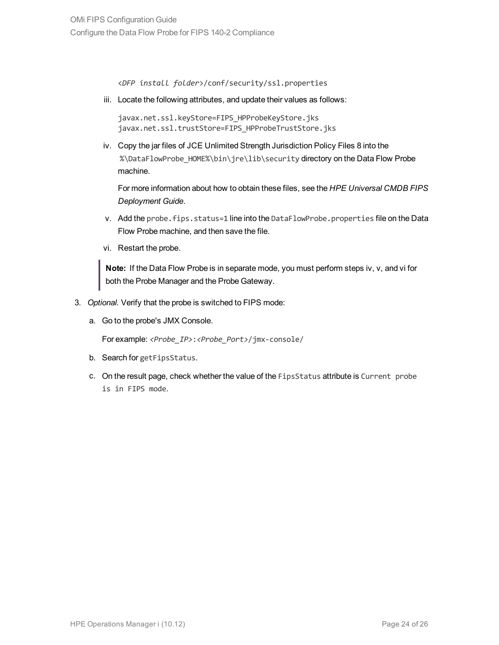<*DFP install folder*>/conf/security/ssl.properties

iii. Locate the following attributes, and update their values as follows:

```
javax.net.ssl.keyStore=FIPS_HPProbeKeyStore.jks
javax.net.ssl.trustStore=FIPS_HPProbeTrustStore.jks
```
iv. Copy the jar files of JCE Unlimited Strength Jurisdiction Policy Files 8 into the %\DataFlowProbe\_HOME%\bin\jre\lib\security directory on the Data Flow Probe machine.

For more information about how to obtain these files, see the *HPE Universal CMDB FIPS Deployment Guide*.

- v. Add the probe.fips.status=1 line into the DataFlowProbe.properties file on the Data Flow Probe machine, and then save the file.
- vi. Restart the probe.

**Note:** If the Data Flow Probe is in separate mode, you must perform steps iv, v, and vi for both the Probe Manager and the Probe Gateway.

- 3. *Optional.* Verify that the probe is switched to FIPS mode:
	- a. Go to the probe's JMX Console.

For example: *<Probe\_IP>*:*<Probe\_Port>*/jmx-console/

- b. Search for getFipsStatus.
- c. On the result page, check whether the value of the FipsStatus attribute is Current probe is in FIPS mode.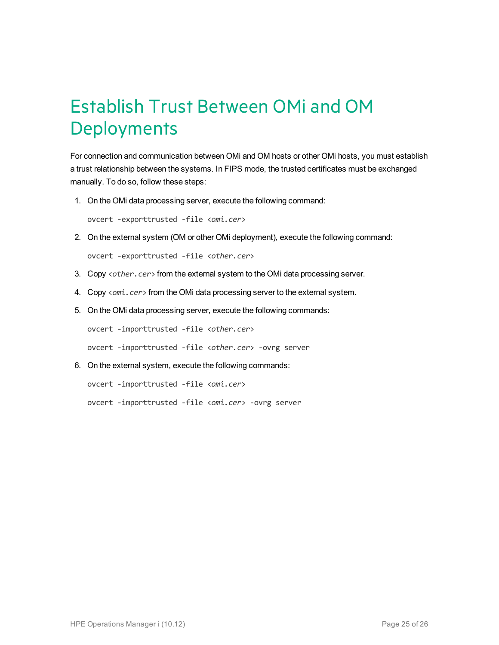# <span id="page-24-0"></span>Establish Trust Between OMi and OM **Deployments**

For connection and communication between OMi and OM hosts or other OMi hosts, you must establish a trust relationship between the systems. In FIPS mode, the trusted certificates must be exchanged manually. To do so, follow these steps:

1. On the OMi data processing server, execute the following command:

ovcert -exporttrusted -file <*omi.cer*>

2. On the external system (OM or other OMi deployment), execute the following command:

ovcert -exporttrusted -file <*other.cer*>

- 3. Copy <*other.cer*> from the external system to the OMi data processing server.
- 4. Copy <*omi.cer*> from the OMi data processing server to the external system.
- 5. On the OMi data processing server, execute the following commands:

ovcert -importtrusted -file <*other.cer*>

ovcert -importtrusted -file <*other.cer*> -ovrg server

6. On the external system, execute the following commands:

ovcert -importtrusted -file <*omi.cer*>

ovcert -importtrusted -file <*omi.cer*> -ovrg server